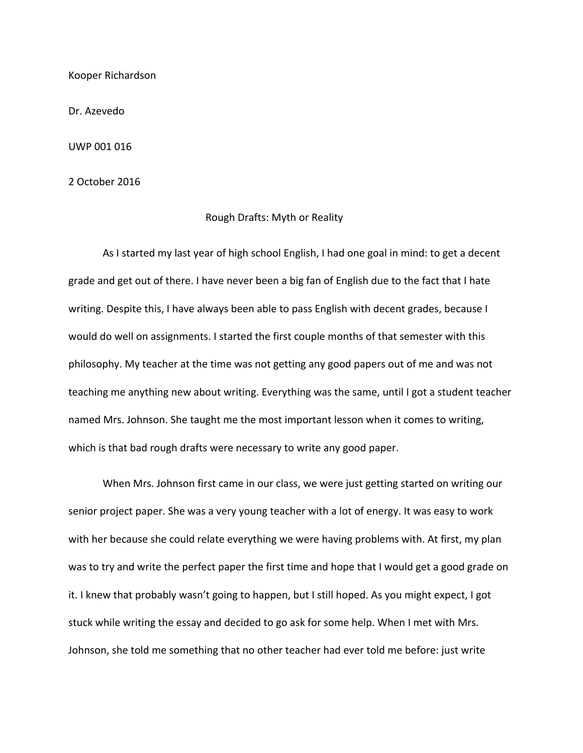Kooper Richardson

Dr. Azevedo

UWP 001 016

2 October 2016

## Rough Drafts: Myth or Reality

As I started my last year of high school English, I had one goal in mind: to get a decent grade and get out of there. I have never been a big fan of English due to the fact that I hate writing. Despite this, I have always been able to pass English with decent grades, because I would do well on assignments. I started the first couple months of that semester with this philosophy. My teacher at the time was not getting any good papers out of me and was not teaching me anything new about writing. Everything was the same, until I got a student teacher named Mrs. Johnson. She taught me the most important lesson when it comes to writing, which is that bad rough drafts were necessary to write any good paper.

When Mrs. Johnson first came in our class, we were just getting started on writing our senior project paper. She was a very young teacher with a lot of energy. It was easy to work with her because she could relate everything we were having problems with. At first, my plan was to try and write the perfect paper the first time and hope that I would get a good grade on it. I knew that probably wasn't going to happen, but I still hoped. As you might expect, I got stuck while writing the essay and decided to go ask for some help. When I met with Mrs. Johnson, she told me something that no other teacher had ever told me before: just write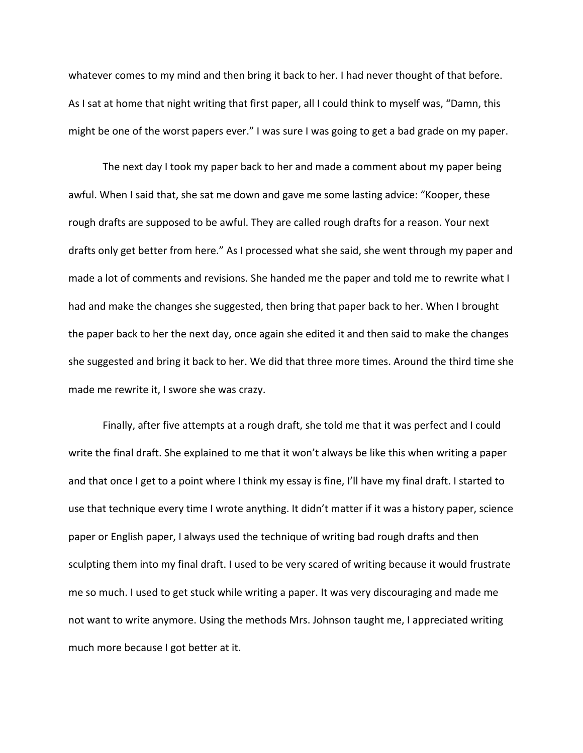whatever comes to my mind and then bring it back to her. I had never thought of that before. As I sat at home that night writing that first paper, all I could think to myself was, "Damn, this might be one of the worst papers ever." I was sure I was going to get a bad grade on my paper.

The next day I took my paper back to her and made a comment about my paper being awful. When I said that, she sat me down and gave me some lasting advice: "Kooper, these rough drafts are supposed to be awful. They are called rough drafts for a reason. Your next drafts only get better from here." As I processed what she said, she went through my paper and made a lot of comments and revisions. She handed me the paper and told me to rewrite what I had and make the changes she suggested, then bring that paper back to her. When I brought the paper back to her the next day, once again she edited it and then said to make the changes she suggested and bring it back to her. We did that three more times. Around the third time she made me rewrite it, I swore she was crazy.

Finally, after five attempts at a rough draft, she told me that it was perfect and I could write the final draft. She explained to me that it won't always be like this when writing a paper and that once I get to a point where I think my essay is fine, I'll have my final draft. I started to use that technique every time I wrote anything. It didn't matter if it was a history paper, science paper or English paper, I always used the technique of writing bad rough drafts and then sculpting them into my final draft. I used to be very scared of writing because it would frustrate me so much. I used to get stuck while writing a paper. It was very discouraging and made me not want to write anymore. Using the methods Mrs. Johnson taught me, I appreciated writing much more because I got better at it.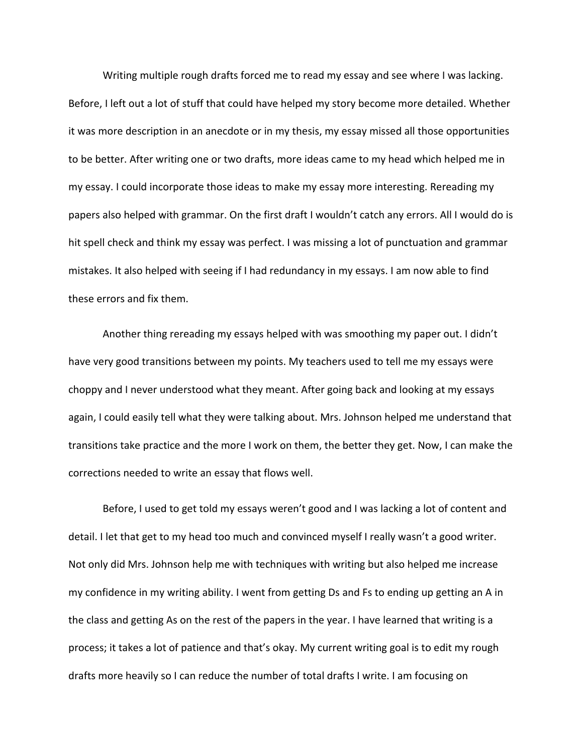Writing multiple rough drafts forced me to read my essay and see where I was lacking. Before, I left out a lot of stuff that could have helped my story become more detailed. Whether it was more description in an anecdote or in my thesis, my essay missed all those opportunities to be better. After writing one or two drafts, more ideas came to my head which helped me in my essay. I could incorporate those ideas to make my essay more interesting. Rereading my papers also helped with grammar. On the first draft I wouldn't catch any errors. All I would do is hit spell check and think my essay was perfect. I was missing a lot of punctuation and grammar mistakes. It also helped with seeing if I had redundancy in my essays. I am now able to find these errors and fix them.

Another thing rereading my essays helped with was smoothing my paper out. I didn't have very good transitions between my points. My teachers used to tell me my essays were choppy and I never understood what they meant. After going back and looking at my essays again, I could easily tell what they were talking about. Mrs. Johnson helped me understand that transitions take practice and the more I work on them, the better they get. Now, I can make the corrections needed to write an essay that flows well.

Before, I used to get told my essays weren't good and I was lacking a lot of content and detail. I let that get to my head too much and convinced myself I really wasn't a good writer. Not only did Mrs. Johnson help me with techniques with writing but also helped me increase my confidence in my writing ability. I went from getting Ds and Fs to ending up getting an A in the class and getting As on the rest of the papers in the year. I have learned that writing is a process; it takes a lot of patience and that's okay. My current writing goal is to edit my rough drafts more heavily so I can reduce the number of total drafts I write. I am focusing on